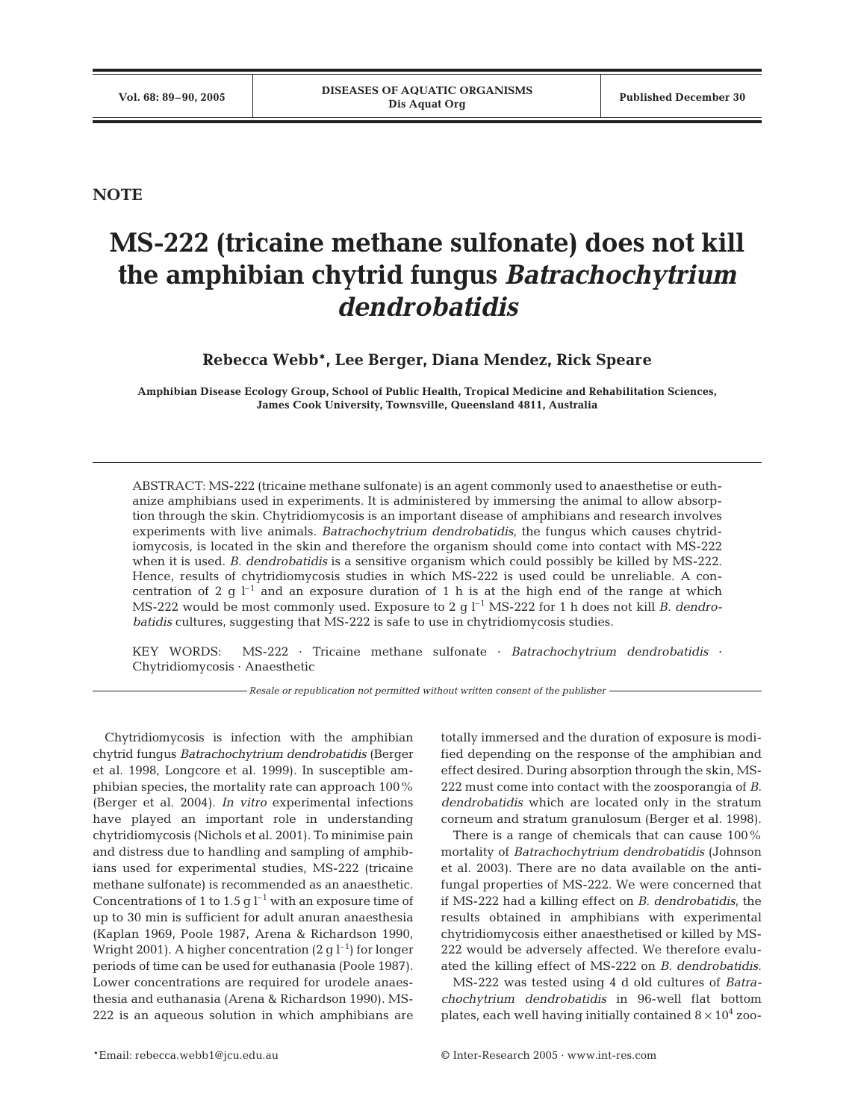**NOTE**

## **MS-222 (tricaine methane sulfonate) does not kill the amphibian chytrid fungus** *Batrachochytrium dendrobatidis*

**Rebecca Webb\*, Lee Berger, Diana Mendez, Rick Speare**

**Amphibian Disease Ecology Group, School of Public Health, Tropical Medicine and Rehabilitation Sciences, James Cook University, Townsville, Queensland 4811, Australia**

ABSTRACT: MS-222 (tricaine methane sulfonate) is an agent commonly used to anaesthetise or euthanize amphibians used in experiments. It is administered by immersing the animal to allow absorption through the skin. Chytridiomycosis is an important disease of amphibians and research involves experiments with live animals. *Batrachochytrium dendrobatidis,* the fungus which causes chytridiomycosis, is located in the skin and therefore the organism should come into contact with MS-222 when it is used. *B. dendrobatidis* is a sensitive organism which could possibly be killed by MS-222. Hence, results of chytridiomycosis studies in which MS-222 is used could be unreliable. A concentration of 2 q  $l^{-1}$  and an exposure duration of 1 h is at the high end of the range at which MS-222 would be most commonly used. Exposure to 2 q l<sup>-1</sup> MS-222 for 1 h does not kill *B. dendrobatidis* cultures, suggesting that MS-222 is safe to use in chytridiomycosis studies.

KEY WORDS: MS-222 · Tricaine methane sulfonate · *Batrachochytrium dendrobatidis* · Chytridiomycosis · Anaesthetic

*Resale or republication not permitted without written consent of the publisher*

Chytridiomycosis is infection with the amphibian chytrid fungus *Batrachochytrium dendrobatidis* (Berger et al. 1998, Longcore et al. 1999). In susceptible amphibian species, the mortality rate can approach 100% (Berger et al. 2004). *In vitro* experimental infections have played an important role in understanding chytridiomycosis (Nichols et al. 2001). To minimise pain and distress due to handling and sampling of amphibians used for experimental studies, MS-222 (tricaine methane sulfonate) is recommended as an anaesthetic. Concentrations of 1 to 1.5 g  $l^{-1}$  with an exposure time of up to 30 min is sufficient for adult anuran anaesthesia (Kaplan 1969, Poole 1987, Arena & Richardson 1990, Wright 2001). A higher concentration (2 g  $l^{-1}$ ) for longer periods of time can be used for euthanasia (Poole 1987). Lower concentrations are required for urodele anaesthesia and euthanasia (Arena & Richardson 1990). MS-222 is an aqueous solution in which amphibians are

totally immersed and the duration of exposure is modified depending on the response of the amphibian and effect desired. During absorption through the skin, MS-222 must come into contact with the zoosporangia of *B. dendrobatidis* which are located only in the stratum corneum and stratum granulosum (Berger et al. 1998).

There is a range of chemicals that can cause 100% mortality of *Batrachochytrium dendrobatidis* (Johnson et al. 2003). There are no data available on the antifungal properties of MS-222. We were concerned that if MS-222 had a killing effect on *B. dendrobatidis*, the results obtained in amphibians with experimental chytridiomycosis either anaesthetised or killed by MS-222 would be adversely affected. We therefore evaluated the killing effect of MS-222 on *B. dendrobatidis*.

MS-222 was tested using 4 d old cultures of *Batrachochytrium dendrobatidis* in 96-well flat bottom plates, each well having initially contained  $8 \times 10^4$  zoo